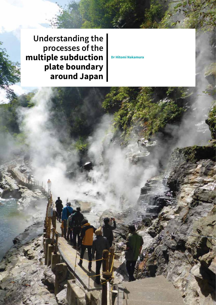**Understanding the processes of the multiple subduction plate boundary around Japan**

**Dr Hitomi Nakamura**

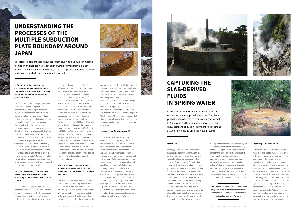**Let's start at the beginning so that everyone can understand about more about what you do. What's your research background? And how did you get into your chosen field?**

I am a volcanologist/petrologist/geochemist. My PhD thesis concerns Quaternary magmatism in Central Japan where the multiple plates meet and interact, which led me to realize the importance of fluid, particularly salty aqueous fluid derived from the subducting plates, to magma genesis. My research activity includes field works, rock/water sampling, laboratory works (e.g., chemical and isotope analyses utilizing 'clean room' and mass spectrometer), and data analyses using computers. Now I am involved in a project on magmatism in Kamchatka, where again fluids play an important role, collaborating with Dr Tatiana Churikova in IVS FEB RAS. Based on these studies and my background, I have also started to study a new target 'spring water'. Many spring waters are upwelling in Japan, some of which seem to have the same origin with the deep-seated fluid triggering magma generation.

#### **Many people are familiar with tectonic plates, but what is special about the subducting plates found on the islands of Japan?**

Two features are highlighted here. First, since the Pacific Plate that subducts beneath Japan is the largest on Earth, the subduction power is the greatest, exposing the islands to the most tectonically active environment

in the world. In particular, after the '2011

off the Pacific coast of Tohoku Earthquake', the Japanese islands seemed to enter a tectonically active period: in addition to a series of aftershocks, a number of volcanoes have been and are going to erupt, such as Ontake Volcano and Sakurajima Volcano. One of the important factors for these eruptions is water. When magmas ascend and the pressure is released, water is degassed from magmas and quickly expands, causing explosion and eruption. The water source is a fluid liberated from the subducting plates. Beneath the Japanese islands, the two oceanic plates (Pacific Plate and Philippine Sea Plate) subduct beneath the two continental plates, with complex plate geometry. Therefore, the average amount of water supplied from the plates is greater than in other subduction zones, with complex spatial variations in both amount and composition, through many faults that have been created by tectonic stress applied from the four colliding plates along the

Japanese islands.

#### **A lot of your focus is centred around 'slab fluids'. What are slab fluids, and what important role do they play at plate boundaries?**

The reason why we have plate boundaries and subduction is probably due to liquid water on this planet, which weakens the rock strength. Therefore, how water interacts with rocks in subduction zones is related to the uniqueness of this planet. Another unique feature of Earth is the presence of the

## **UNDERSTANDING THE PROCESSES OF THE MULTIPLE SUBDUCTION PLATE BOUNDARY AROUND JAPAN**





**Dr Hitomi Nakamura** uses knowledge from studying slab fluids in magma formation and applies it to study spring waters formed from a similar process. In this interview, she discusses what is special about the Japanese plate system and why such fluids are important.

> continents, which is thought to be produced also via water-rock interactions. Slab fluid is such water, derived from subducting slabs. Slab fluids are not pure water, but a brine containing abundant metals, as a result of water-slab material interactions at high pressure and temperature. In many arcs, slab fluids are upwelling beneath volcanic region and produce magmas and possibly ore deposits, in which they can be trapped as 'fluid inclusions'. Recent studies suggest that slab fluids are also upwelling in non-volcanic regions, especially through faults in the forearc region.

#### **So what is next for your research?**

Since I have just started to study spring waters, there are many things to do at the moment. In particular, I will continue to search for deep-seated brines that correspond to slab fluids along the entire Japanese islands, first mapping their distributions. The detailed compositions of the brines will tell us both their origin (from which we may infer the physical-chemical condition of the subducted plates) and ascent processes (from which tectonic settings and aquifer interactions may be discussed). Including these brines, I have a plan to map and geochemically classify all the spring waters in Japan, in order to envisage 'fluid circulation' beneath the Japanese islands, which is important in understanding the geological phenomena and plate dynamics in subduction zones, as well as the Earth's unique features.

#### **Tectonic Tales**

As many people are aware, unlike other planetary bodies in our solar system, the Earth is made up of multitude of massive rock slabs which move over each other known as Tectonic plates. Tectonic plates interact with each other at plate boundaries and most commonly occur in two ways: The first, where the plate is constructive and the plates move away from each other. And second, where the plates move towards each other where one plate becomes submerged under the other. This article is concerned with the latter upon which they occur between an oceanic plate and a continental plate (at boundaries between land and sea). The oceanic plate is much heavier than the continental plate due to heavier elements

making up the composition in the rocks (and they generally a more mafic composition), so the oceanic plate submerges (subducts) beneath the continental plate under gravity. If you have two plates which are of the same composition (oceanic-oceanic and continental-continental) then you get a 'collision' plate boundary where it concerned with making geological structure such as mountain building (like Himalaya). Around the Japanese islands, the tectonic activity is concerned with subduction plate boundaries.

*What makes the Japanese subduction zone so special is the fact that the oceanic plate is the largest on Earth, giving the greatest subduction power in the world*



#### **Japan's Special Environment**

But did you know that this can occur for more than one plate simultaneously? This is the case in Japan where the Pacific Plate submerges at the Japan Trench under multiple continental volcanic arc-magma with multiple continental shelfs containing less dense rock. This phenomenon is not exclusive to Japan as it also occurs at various points over the Pacific Islands and is known as 'the Ring of Fire' because of the amount of induced volcanoes and earthquakes caused by the multiple plate system. However, beneath the Japanese islands, the two oceanic plates (Pacific Plate and Philippine Sea Plate) subduct partly overlapping beneath the two continental plates, which leads to complex plate geometry and